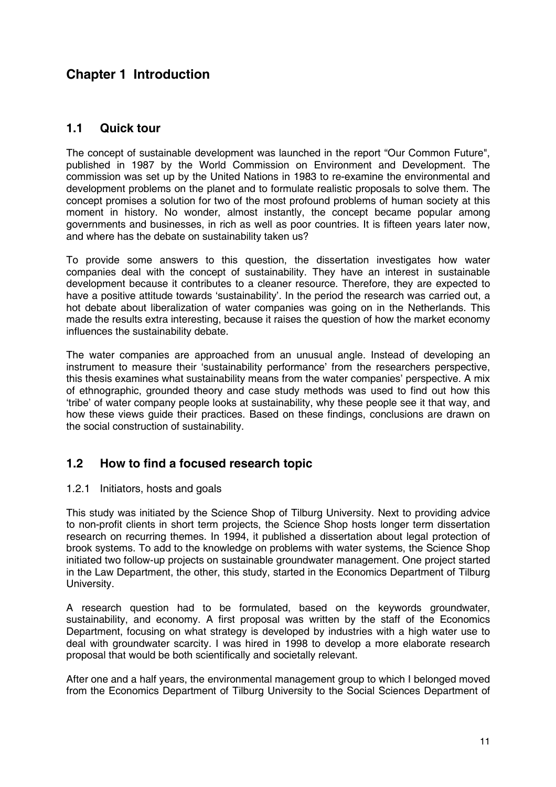# **Chapter 1 Introduction**

## **1.1 Quick tour**

The concept of sustainable development was launched in the report "Our Common Future", published in 1987 by the World Commission on Environment and Development. The commission was set up by the United Nations in 1983 to re-examine the environmental and development problems on the planet and to formulate realistic proposals to solve them. The concept promises a solution for two of the most profound problems of human society at this moment in history. No wonder, almost instantly, the concept became popular among governments and businesses, in rich as well as poor countries. It is fifteen years later now, and where has the debate on sustainability taken us?

To provide some answers to this question, the dissertation investigates how water companies deal with the concept of sustainability. They have an interest in sustainable development because it contributes to a cleaner resource. Therefore, they are expected to have a positive attitude towards 'sustainability'. In the period the research was carried out, a hot debate about liberalization of water companies was going on in the Netherlands. This made the results extra interesting, because it raises the question of how the market economy influences the sustainability debate.

The water companies are approached from an unusual angle. Instead of developing an instrument to measure their 'sustainability performance' from the researchers perspective, this thesis examines what sustainability means from the water companies' perspective. A mix of ethnographic, grounded theory and case study methods was used to find out how this 'tribe' of water company people looks at sustainability, why these people see it that way, and how these views guide their practices. Based on these findings, conclusions are drawn on the social construction of sustainability.

# **1.2 How to find a focused research topic**

### 1.2.1 Initiators, hosts and goals

This study was initiated by the Science Shop of Tilburg University. Next to providing advice to non-profit clients in short term projects, the Science Shop hosts longer term dissertation research on recurring themes. In 1994, it published a dissertation about legal protection of brook systems. To add to the knowledge on problems with water systems, the Science Shop initiated two follow-up projects on sustainable groundwater management. One project started in the Law Department, the other, this study, started in the Economics Department of Tilburg University.

A research question had to be formulated, based on the keywords groundwater, sustainability, and economy. A first proposal was written by the staff of the Economics Department, focusing on what strategy is developed by industries with a high water use to deal with groundwater scarcity. I was hired in 1998 to develop a more elaborate research proposal that would be both scientifically and societally relevant.

After one and a half years, the environmental management group to which I belonged moved from the Economics Department of Tilburg University to the Social Sciences Department of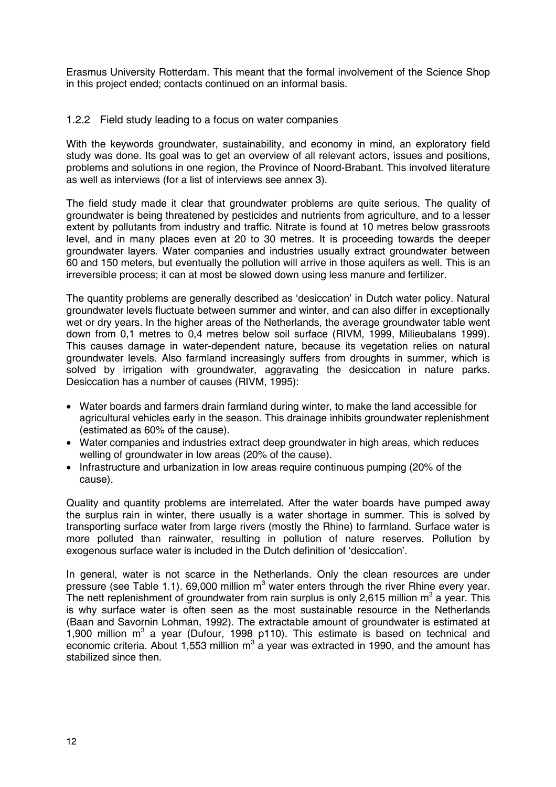Erasmus University Rotterdam. This meant that the formal involvement of the Science Shop in this project ended; contacts continued on an informal basis.

#### 1.2.2 Field study leading to a focus on water companies

With the keywords groundwater, sustainability, and economy in mind, an exploratory field study was done. Its goal was to get an overview of all relevant actors, issues and positions, problems and solutions in one region, the Province of Noord-Brabant. This involved literature as well as interviews (for a list of interviews see annex 3).

The field study made it clear that groundwater problems are quite serious. The quality of groundwater is being threatened by pesticides and nutrients from agriculture, and to a lesser extent by pollutants from industry and traffic. Nitrate is found at 10 metres below grassroots level, and in many places even at 20 to 30 metres. It is proceeding towards the deeper groundwater layers. Water companies and industries usually extract groundwater between 60 and 150 meters, but eventually the pollution will arrive in those aquifers as well. This is an irreversible process; it can at most be slowed down using less manure and fertilizer.

The quantity problems are generally described as 'desiccation' in Dutch water policy. Natural groundwater levels fluctuate between summer and winter, and can also differ in exceptionally wet or dry years. In the higher areas of the Netherlands, the average groundwater table went down from 0,1 metres to 0,4 metres below soil surface (RIVM, 1999, Milieubalans 1999). This causes damage in water-dependent nature, because its vegetation relies on natural groundwater levels. Also farmland increasingly suffers from droughts in summer, which is solved by irrigation with groundwater, aggravating the desiccation in nature parks. Desiccation has a number of causes (RIVM, 1995):

- Water boards and farmers drain farmland during winter, to make the land accessible for agricultural vehicles early in the season. This drainage inhibits groundwater replenishment (estimated as 60% of the cause).
- Water companies and industries extract deep groundwater in high areas, which reduces welling of groundwater in low areas (20% of the cause).
- Infrastructure and urbanization in low areas require continuous pumping (20% of the cause).

Quality and quantity problems are interrelated. After the water boards have pumped away the surplus rain in winter, there usually is a water shortage in summer. This is solved by transporting surface water from large rivers (mostly the Rhine) to farmland. Surface water is more polluted than rainwater, resulting in pollution of nature reserves. Pollution by exogenous surface water is included in the Dutch definition of 'desiccation'.

In general, water is not scarce in the Netherlands. Only the clean resources are under pressure (see Table 1.1). 69,000 million  $m^3$  water enters through the river Rhine every year. The nett replenishment of groundwater from rain surplus is only 2,615 million m<sup>3</sup> a year. This is why surface water is often seen as the most sustainable resource in the Netherlands (Baan and Savornin Lohman, 1992). The extractable amount of groundwater is estimated at 1,900 million  $m^3$  a year (Dufour, 1998 p110). This estimate is based on technical and economic criteria. About 1,553 million m<sup>3</sup> a year was extracted in 1990, and the amount has stabilized since then.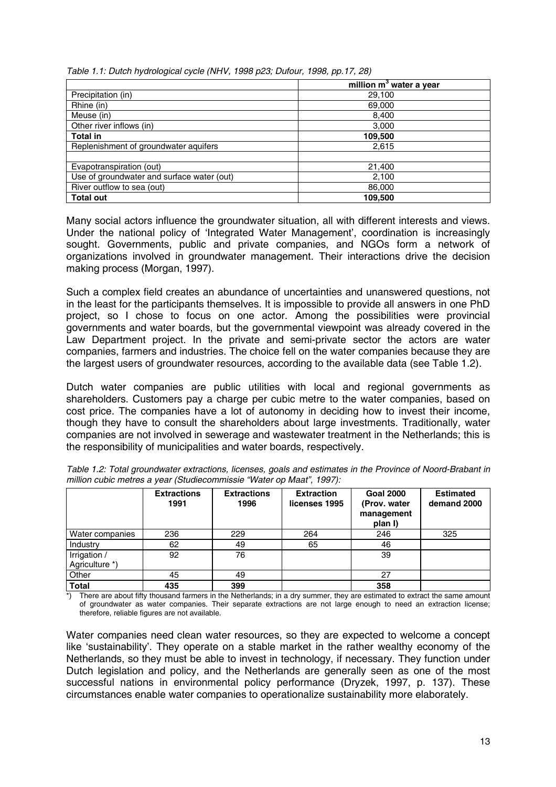|  | Table 1.1: Dutch hydrological cycle (NHV, 1998 p23; Dufour, 1998, pp.17, 28) |  |
|--|------------------------------------------------------------------------------|--|

|                                            | million m <sup>3</sup> water a year |
|--------------------------------------------|-------------------------------------|
| Precipitation (in)                         | 29,100                              |
| Rhine (in)                                 | 69,000                              |
| Meuse (in)                                 | 8,400                               |
| Other river inflows (in)                   | 3,000                               |
| <b>Total in</b>                            | 109,500                             |
| Replenishment of groundwater aquifers      | 2,615                               |
|                                            |                                     |
| Evapotranspiration (out)                   | 21,400                              |
| Use of groundwater and surface water (out) | 2,100                               |
| River outflow to sea (out)                 | 86,000                              |
| <b>Total out</b>                           | 109,500                             |

Many social actors influence the groundwater situation, all with different interests and views. Under the national policy of 'Integrated Water Management', coordination is increasingly sought. Governments, public and private companies, and NGOs form a network of organizations involved in groundwater management. Their interactions drive the decision making process (Morgan, 1997).

Such a complex field creates an abundance of uncertainties and unanswered questions, not in the least for the participants themselves. It is impossible to provide all answers in one PhD project, so I chose to focus on one actor. Among the possibilities were provincial governments and water boards, but the governmental viewpoint was already covered in the Law Department project. In the private and semi-private sector the actors are water companies, farmers and industries. The choice fell on the water companies because they are the largest users of groundwater resources, according to the available data (see Table 1.2).

Dutch water companies are public utilities with local and regional governments as shareholders. Customers pay a charge per cubic metre to the water companies, based on cost price. The companies have a lot of autonomy in deciding how to invest their income, though they have to consult the shareholders about large investments. Traditionally, water companies are not involved in sewerage and wastewater treatment in the Netherlands; this is the responsibility of municipalities and water boards, respectively.

|                                | <b>Extractions</b><br>1991 | <b>Extractions</b><br>1996 | <b>Extraction</b><br>licenses 1995 | <b>Goal 2000</b><br>(Prov. water<br>management<br>plan I) | <b>Estimated</b><br>demand 2000 |
|--------------------------------|----------------------------|----------------------------|------------------------------------|-----------------------------------------------------------|---------------------------------|
| Water companies                | 236                        | 229                        | 264                                | 246                                                       | 325                             |
| Industry                       | 62                         | 49                         | 65                                 | 46                                                        |                                 |
| Irrigation /<br>Agriculture *) | 92                         | 76                         |                                    | 39                                                        |                                 |
| Other                          | 45                         | 49                         |                                    | 27                                                        |                                 |
| <b>Total</b>                   | 435                        | 399                        |                                    | 358                                                       |                                 |

*Table 1.2: Total groundwater extractions, licenses, goals and estimates in the Province of Noord-Brabant in million cubic metres a year (Studiecommissie "Water op Maat", 1997):*

\*) There are about fifty thousand farmers in the Netherlands; in a dry summer, they are estimated to extract the same amount of groundwater as water companies. Their separate extractions are not large enough to need an extraction license; therefore, reliable figures are not available.

Water companies need clean water resources, so they are expected to welcome a concept like 'sustainability'. They operate on a stable market in the rather wealthy economy of the Netherlands, so they must be able to invest in technology, if necessary. They function under Dutch legislation and policy, and the Netherlands are generally seen as one of the most successful nations in environmental policy performance (Dryzek, 1997, p. 137). These circumstances enable water companies to operationalize sustainability more elaborately.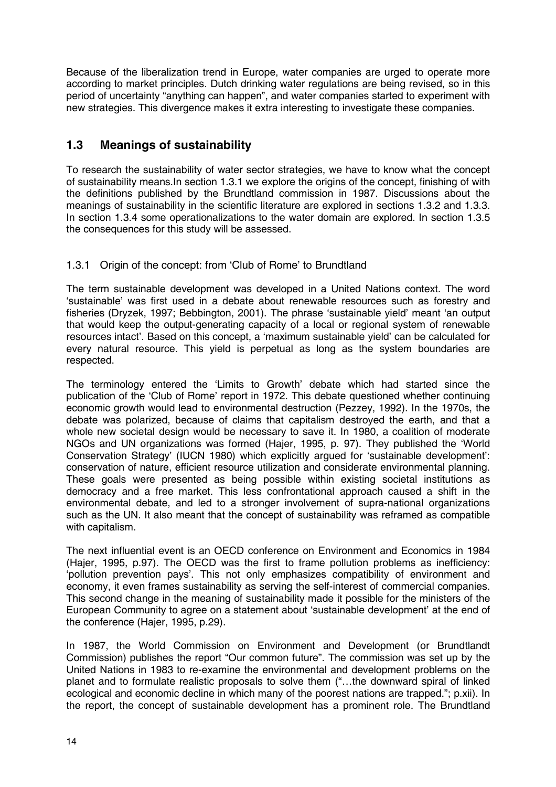Because of the liberalization trend in Europe, water companies are urged to operate more according to market principles. Dutch drinking water regulations are being revised, so in this period of uncertainty "anything can happen", and water companies started to experiment with new strategies. This divergence makes it extra interesting to investigate these companies.

# **1.3 Meanings of sustainability**

To research the sustainability of water sector strategies, we have to know what the concept of sustainability means.In section 1.3.1 we explore the origins of the concept, finishing of with the definitions published by the Brundtland commission in 1987. Discussions about the meanings of sustainability in the scientific literature are explored in sections 1.3.2 and 1.3.3. In section 1.3.4 some operationalizations to the water domain are explored. In section 1.3.5 the consequences for this study will be assessed.

### 1.3.1 Origin of the concept: from 'Club of Rome' to Brundtland

The term sustainable development was developed in a United Nations context. The word 'sustainable' was first used in a debate about renewable resources such as forestry and fisheries (Dryzek, 1997; Bebbington, 2001). The phrase 'sustainable yield' meant 'an output that would keep the output-generating capacity of a local or regional system of renewable resources intact'. Based on this concept, a 'maximum sustainable yield' can be calculated for every natural resource. This yield is perpetual as long as the system boundaries are respected.

The terminology entered the 'Limits to Growth' debate which had started since the publication of the 'Club of Rome' report in 1972. This debate questioned whether continuing economic growth would lead to environmental destruction (Pezzey, 1992). In the 1970s, the debate was polarized, because of claims that capitalism destroyed the earth, and that a whole new societal design would be necessary to save it. In 1980, a coalition of moderate NGOs and UN organizations was formed (Hajer, 1995, p. 97). They published the 'World Conservation Strategy' (IUCN 1980) which explicitly argued for 'sustainable development': conservation of nature, efficient resource utilization and considerate environmental planning. These goals were presented as being possible within existing societal institutions as democracy and a free market. This less confrontational approach caused a shift in the environmental debate, and led to a stronger involvement of supra-national organizations such as the UN. It also meant that the concept of sustainability was reframed as compatible with capitalism.

The next influential event is an OECD conference on Environment and Economics in 1984 (Hajer, 1995, p.97). The OECD was the first to frame pollution problems as inefficiency: 'pollution prevention pays'. This not only emphasizes compatibility of environment and economy, it even frames sustainability as serving the self-interest of commercial companies. This second change in the meaning of sustainability made it possible for the ministers of the European Community to agree on a statement about 'sustainable development' at the end of the conference (Hajer, 1995, p.29).

In 1987, the World Commission on Environment and Development (or Brundtlandt Commission) publishes the report "Our common future". The commission was set up by the United Nations in 1983 to re-examine the environmental and development problems on the planet and to formulate realistic proposals to solve them ("…the downward spiral of linked ecological and economic decline in which many of the poorest nations are trapped."; p.xii). In the report, the concept of sustainable development has a prominent role. The Brundtland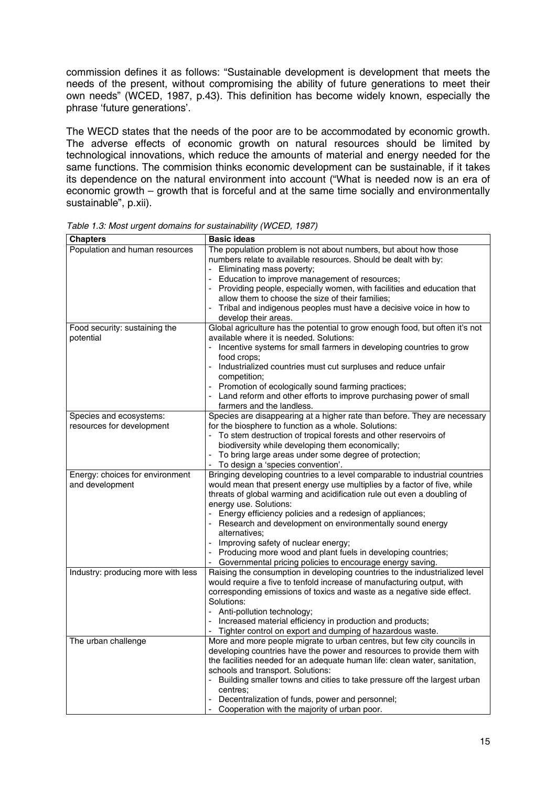commission defines it as follows: "Sustainable development is development that meets the needs of the present, without compromising the ability of future generations to meet their own needs" (WCED, 1987, p.43). This definition has become widely known, especially the phrase 'future generations'.

The WECD states that the needs of the poor are to be accommodated by economic growth. The adverse effects of economic growth on natural resources should be limited by technological innovations, which reduce the amounts of material and energy needed for the same functions. The commision thinks economic development can be sustainable, if it takes its dependence on the natural environment into account ("What is needed now is an era of economic growth – growth that is forceful and at the same time socially and environmentally sustainable", p.xii).

| <b>Chapters</b>                    | <b>Basic ideas</b>                                                                         |
|------------------------------------|--------------------------------------------------------------------------------------------|
| Population and human resources     | The population problem is not about numbers, but about how those                           |
|                                    | numbers relate to available resources. Should be dealt with by:                            |
|                                    | - Eliminating mass poverty;                                                                |
|                                    | - Education to improve management of resources;                                            |
|                                    | - Providing people, especially women, with facilities and education that                   |
|                                    | allow them to choose the size of their families;                                           |
|                                    | Tribal and indigenous peoples must have a decisive voice in how to                         |
|                                    | develop their areas.                                                                       |
| Food security: sustaining the      | Global agriculture has the potential to grow enough food, but often it's not               |
| potential                          | available where it is needed. Solutions:                                                   |
|                                    | Incentive systems for small farmers in developing countries to grow                        |
|                                    | food crops;                                                                                |
|                                    | Industrialized countries must cut surpluses and reduce unfair                              |
|                                    | competition;                                                                               |
|                                    | Promotion of ecologically sound farming practices;                                         |
|                                    | - Land reform and other efforts to improve purchasing power of small                       |
|                                    | farmers and the landless.                                                                  |
| Species and ecosystems:            | Species are disappearing at a higher rate than before. They are necessary                  |
| resources for development          | for the biosphere to function as a whole. Solutions:                                       |
|                                    | To stem destruction of tropical forests and other reservoirs of                            |
|                                    | biodiversity while developing them economically;                                           |
|                                    | To bring large areas under some degree of protection;<br>To design a 'species convention'. |
| Energy: choices for environment    | Bringing developing countries to a level comparable to industrial countries                |
| and development                    | would mean that present energy use multiplies by a factor of five, while                   |
|                                    | threats of global warming and acidification rule out even a doubling of                    |
|                                    | energy use. Solutions:                                                                     |
|                                    | - Energy efficiency policies and a redesign of appliances;                                 |
|                                    | - Research and development on environmentally sound energy                                 |
|                                    | alternatives:                                                                              |
|                                    | - Improving safety of nuclear energy;                                                      |
|                                    | Producing more wood and plant fuels in developing countries;                               |
|                                    | - Governmental pricing policies to encourage energy saving.                                |
| Industry: producing more with less | Raising the consumption in developing countries to the industrialized level                |
|                                    | would require a five to tenfold increase of manufacturing output, with                     |
|                                    | corresponding emissions of toxics and waste as a negative side effect.                     |
|                                    | Solutions:                                                                                 |
|                                    | Anti-pollution technology;                                                                 |
|                                    | - Increased material efficiency in production and products;                                |
|                                    | Tighter control on export and dumping of hazardous waste.                                  |
| The urban challenge                | More and more people migrate to urban centres, but few city councils in                    |
|                                    | developing countries have the power and resources to provide them with                     |
|                                    | the facilities needed for an adequate human life: clean water, sanitation,                 |
|                                    | schools and transport. Solutions:                                                          |
|                                    | - Building smaller towns and cities to take pressure off the largest urban                 |
|                                    | centres:                                                                                   |
|                                    | Decentralization of funds, power and personnel;                                            |
|                                    | Cooperation with the majority of urban poor.                                               |

*Table 1.3: Most urgent domains for sustainability (WCED, 1987)*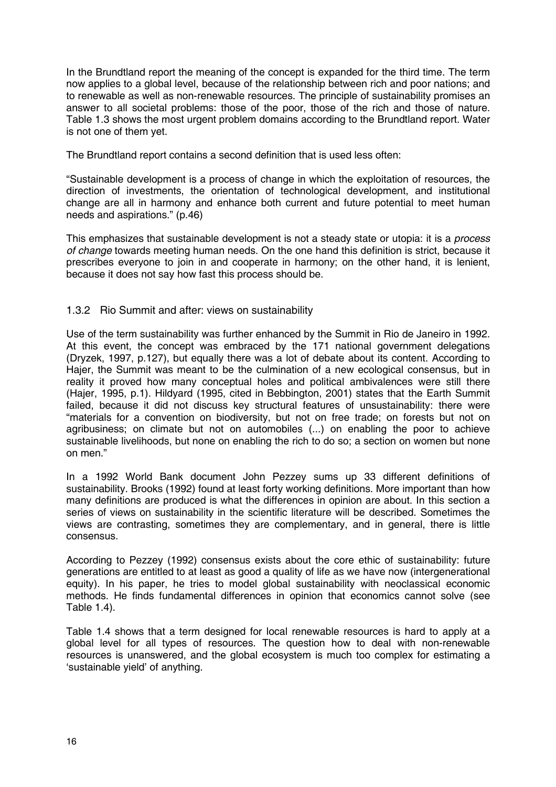In the Brundtland report the meaning of the concept is expanded for the third time. The term now applies to a global level, because of the relationship between rich and poor nations; and to renewable as well as non-renewable resources. The principle of sustainability promises an answer to all societal problems: those of the poor, those of the rich and those of nature. Table 1.3 shows the most urgent problem domains according to the Brundtland report. Water is not one of them yet.

The Brundtland report contains a second definition that is used less often:

"Sustainable development is a process of change in which the exploitation of resources, the direction of investments, the orientation of technological development, and institutional change are all in harmony and enhance both current and future potential to meet human needs and aspirations." (p.46)

This emphasizes that sustainable development is not a steady state or utopia: it is a *process of change* towards meeting human needs. On the one hand this definition is strict, because it prescribes everyone to join in and cooperate in harmony; on the other hand, it is lenient, because it does not say how fast this process should be.

#### 1.3.2 Rio Summit and after: views on sustainability

Use of the term sustainability was further enhanced by the Summit in Rio de Janeiro in 1992. At this event, the concept was embraced by the 171 national government delegations (Dryzek, 1997, p.127), but equally there was a lot of debate about its content. According to Hajer, the Summit was meant to be the culmination of a new ecological consensus, but in reality it proved how many conceptual holes and political ambivalences were still there (Hajer, 1995, p.1). Hildyard (1995, cited in Bebbington, 2001) states that the Earth Summit failed, because it did not discuss key structural features of unsustainability: there were "materials for a convention on biodiversity, but not on free trade; on forests but not on agribusiness; on climate but not on automobiles (...) on enabling the poor to achieve sustainable livelihoods, but none on enabling the rich to do so; a section on women but none on men."

In a 1992 World Bank document John Pezzey sums up 33 different definitions of sustainability. Brooks (1992) found at least forty working definitions. More important than how many definitions are produced is what the differences in opinion are about. In this section a series of views on sustainability in the scientific literature will be described. Sometimes the views are contrasting, sometimes they are complementary, and in general, there is little consensus.

According to Pezzey (1992) consensus exists about the core ethic of sustainability: future generations are entitled to at least as good a quality of life as we have now (intergenerational equity). In his paper, he tries to model global sustainability with neoclassical economic methods. He finds fundamental differences in opinion that economics cannot solve (see Table 1.4).

Table 1.4 shows that a term designed for local renewable resources is hard to apply at a global level for all types of resources. The question how to deal with non-renewable resources is unanswered, and the global ecosystem is much too complex for estimating a 'sustainable yield' of anything.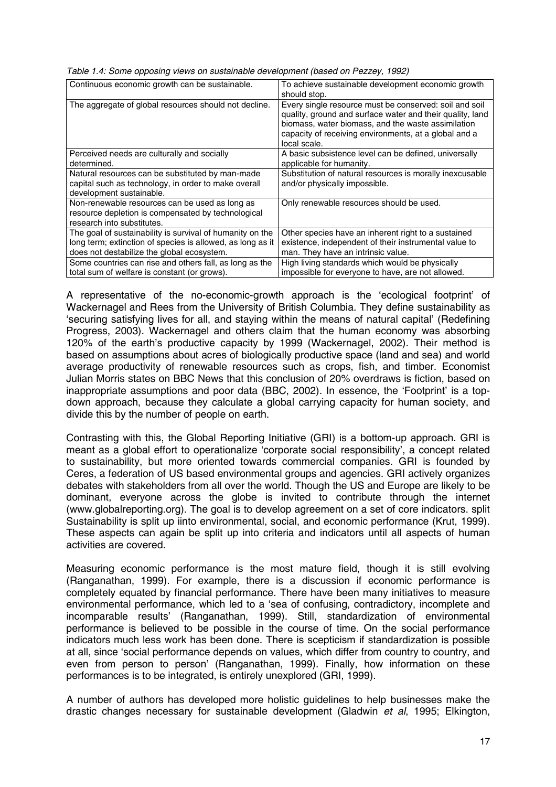| Continuous economic growth can be sustainable.                                                                                                                        | To achieve sustainable development economic growth<br>should stop.                                                                                                                                                                                 |
|-----------------------------------------------------------------------------------------------------------------------------------------------------------------------|----------------------------------------------------------------------------------------------------------------------------------------------------------------------------------------------------------------------------------------------------|
| The aggregate of global resources should not decline.                                                                                                                 | Every single resource must be conserved: soil and soil<br>quality, ground and surface water and their quality, land<br>biomass, water biomass, and the waste assimilation<br>capacity of receiving environments, at a global and a<br>local scale. |
| Perceived needs are culturally and socially<br>determined.                                                                                                            | A basic subsistence level can be defined, universally<br>applicable for humanity.                                                                                                                                                                  |
| Natural resources can be substituted by man-made<br>capital such as technology, in order to make overall<br>development sustainable.                                  | Substitution of natural resources is morally inexcusable<br>and/or physically impossible.                                                                                                                                                          |
| Non-renewable resources can be used as long as<br>resource depletion is compensated by technological<br>research into substitutes.                                    | Only renewable resources should be used.                                                                                                                                                                                                           |
| The goal of sustainability is survival of humanity on the<br>long term; extinction of species is allowed, as long as it<br>does not destabilize the global ecosystem. | Other species have an inherent right to a sustained<br>existence, independent of their instrumental value to<br>man. They have an intrinsic value.                                                                                                 |
| Some countries can rise and others fall, as long as the<br>total sum of welfare is constant (or grows).                                                               | High living standards which would be physically<br>impossible for everyone to have, are not allowed.                                                                                                                                               |

*Table 1.4: Some opposing views on sustainable development (based on Pezzey, 1992)*

A representative of the no-economic-growth approach is the 'ecological footprint' of Wackernagel and Rees from the University of British Columbia. They define sustainability as 'securing satisfying lives for all, and staying within the means of natural capital' (Redefining Progress, 2003). Wackernagel and others claim that the human economy was absorbing 120% of the earth's productive capacity by 1999 (Wackernagel, 2002). Their method is based on assumptions about acres of biologically productive space (land and sea) and world average productivity of renewable resources such as crops, fish, and timber. Economist Julian Morris states on BBC News that this conclusion of 20% overdraws is fiction, based on inappropriate assumptions and poor data (BBC, 2002). In essence, the 'Footprint' is a topdown approach, because they calculate a global carrying capacity for human society, and divide this by the number of people on earth.

Contrasting with this, the Global Reporting Initiative (GRI) is a bottom-up approach. GRI is meant as a global effort to operationalize 'corporate social responsibility', a concept related to sustainability, but more oriented towards commercial companies. GRI is founded by Ceres, a federation of US based environmental groups and agencies. GRI actively organizes debates with stakeholders from all over the world. Though the US and Europe are likely to be dominant, everyone across the globe is invited to contribute through the internet (www.globalreporting.org). The goal is to develop agreement on a set of core indicators. split Sustainability is split up iinto environmental, social, and economic performance (Krut, 1999). These aspects can again be split up into criteria and indicators until all aspects of human activities are covered.

Measuring economic performance is the most mature field, though it is still evolving (Ranganathan, 1999). For example, there is a discussion if economic performance is completely equated by financial performance. There have been many initiatives to measure environmental performance, which led to a 'sea of confusing, contradictory, incomplete and incomparable results' (Ranganathan, 1999). Still, standardization of environmental performance is believed to be possible in the course of time. On the social performance indicators much less work has been done. There is scepticism if standardization is possible at all, since 'social performance depends on values, which differ from country to country, and even from person to person' (Ranganathan, 1999). Finally, how information on these performances is to be integrated, is entirely unexplored (GRI, 1999).

A number of authors has developed more holistic guidelines to help businesses make the drastic changes necessary for sustainable development (Gladwin *et al*, 1995; Elkington,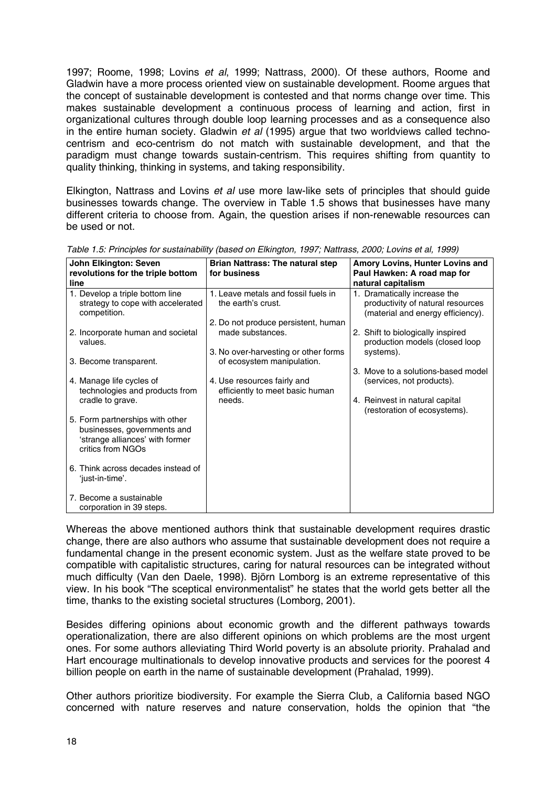1997; Roome, 1998; Lovins *et al*, 1999; Nattrass, 2000). Of these authors, Roome and Gladwin have a more process oriented view on sustainable development. Roome argues that the concept of sustainable development is contested and that norms change over time. This makes sustainable development a continuous process of learning and action, first in organizational cultures through double loop learning processes and as a consequence also in the entire human society. Gladwin *et al* (1995) argue that two worldviews called technocentrism and eco-centrism do not match with sustainable development, and that the paradigm must change towards sustain-centrism. This requires shifting from quantity to quality thinking, thinking in systems, and taking responsibility.

Elkington, Nattrass and Lovins *et al* use more law-like sets of principles that should guide businesses towards change. The overview in Table 1.5 shows that businesses have many different criteria to choose from. Again, the question arises if non-renewable resources can be used or not.

| John Elkington: Seven                                                                                                  | Brian Nattrass: The natural step                                   | Amory Lovins, Hunter Lovins and                                                                        |  |
|------------------------------------------------------------------------------------------------------------------------|--------------------------------------------------------------------|--------------------------------------------------------------------------------------------------------|--|
| revolutions for the triple bottom                                                                                      | for business                                                       | Paul Hawken: A road map for                                                                            |  |
| line                                                                                                                   |                                                                    | natural capitalism                                                                                     |  |
| 1. Develop a triple bottom line<br>strategy to cope with accelerated<br>competition.                                   | 1. Leave metals and fossil fuels in<br>the earth's crust.          | 1. Dramatically increase the<br>productivity of natural resources<br>(material and energy efficiency). |  |
|                                                                                                                        | 2. Do not produce persistent, human                                |                                                                                                        |  |
| 2. Incorporate human and societal<br>values.                                                                           | made substances.                                                   | 2. Shift to biologically inspired<br>production models (closed loop                                    |  |
| 3. Become transparent.                                                                                                 | 3. No over-harvesting or other forms<br>of ecosystem manipulation. | systems).                                                                                              |  |
|                                                                                                                        |                                                                    | 3. Move to a solutions-based model                                                                     |  |
| 4. Manage life cycles of<br>technologies and products from                                                             | 4. Use resources fairly and<br>efficiently to meet basic human     | (services, not products).                                                                              |  |
| cradle to grave.                                                                                                       | needs.                                                             | 4. Reinvest in natural capital<br>(restoration of ecosystems).                                         |  |
| 5. Form partnerships with other<br>businesses, governments and<br>'strange alliances' with former<br>critics from NGOs |                                                                    |                                                                                                        |  |
| 6. Think across decades instead of<br>'just-in-time'.                                                                  |                                                                    |                                                                                                        |  |
| 7. Become a sustainable<br>corporation in 39 steps.                                                                    |                                                                    |                                                                                                        |  |

*Table 1.5: Principles for sustainability (based on Elkington, 1997; Nattrass, 2000; Lovins et al, 1999)*

Whereas the above mentioned authors think that sustainable development requires drastic change, there are also authors who assume that sustainable development does not require a fundamental change in the present economic system. Just as the welfare state proved to be compatible with capitalistic structures, caring for natural resources can be integrated without much difficulty (Van den Daele, 1998). Björn Lomborg is an extreme representative of this view. In his book "The sceptical environmentalist" he states that the world gets better all the time, thanks to the existing societal structures (Lomborg, 2001).

Besides differing opinions about economic growth and the different pathways towards operationalization, there are also different opinions on which problems are the most urgent ones. For some authors alleviating Third World poverty is an absolute priority. Prahalad and Hart encourage multinationals to develop innovative products and services for the poorest 4 billion people on earth in the name of sustainable development (Prahalad, 1999).

Other authors prioritize biodiversity. For example the Sierra Club, a California based NGO concerned with nature reserves and nature conservation, holds the opinion that "the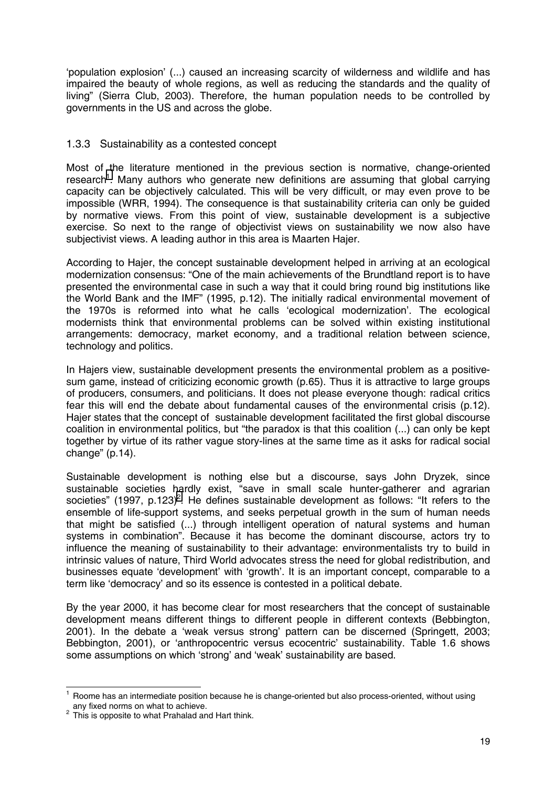'population explosion' (...) caused an increasing scarcity of wilderness and wildlife and has impaired the beauty of whole regions, as well as reducing the standards and the quality of living" (Sierra Club, 2003). Therefore, the human population needs to be controlled by governments in the US and across the globe.

#### 1.3.3 Sustainability as a contested concept

Most of the literature mentioned in the previous section is normative, change-oriented research<sup>1</sup>. Many authors who generate new definitions are assuming that global carrying capacity can be objectively calculated. This will be very difficult, or may even prove to be impossible (WRR, 1994). The consequence is that sustainability criteria can only be guided by normative views. From this point of view, sustainable development is a subjective exercise. So next to the range of objectivist views on sustainability we now also have subjectivist views. A leading author in this area is Maarten Hajer.

According to Hajer, the concept sustainable development helped in arriving at an ecological modernization consensus: "One of the main achievements of the Brundtland report is to have presented the environmental case in such a way that it could bring round big institutions like the World Bank and the IMF" (1995, p.12). The initially radical environmental movement of the 1970s is reformed into what he calls 'ecological modernization'. The ecological modernists think that environmental problems can be solved within existing institutional arrangements: democracy, market economy, and a traditional relation between science, technology and politics.

In Hajers view, sustainable development presents the environmental problem as a positivesum game, instead of criticizing economic growth (p.65). Thus it is attractive to large groups of producers, consumers, and politicians. It does not please everyone though: radical critics fear this will end the debate about fundamental causes of the environmental crisis (p.12). Hajer states that the concept of sustainable development facilitated the first global discourse coalition in environmental politics, but "the paradox is that this coalition (...) can only be kept together by virtue of its rather vague story-lines at the same time as it asks for radical social change" (p.14).

Sustainable development is nothing else but a discourse, says John Dryzek, since sustainable societies hardly exist, "save in small scale hunter-gatherer and agrarian societies" (1997, p.123)<sup>2</sup>. He defines sustainable development as follows: "It refers to the ensemble of life-support systems, and seeks perpetual growth in the sum of human needs that might be satisfied (...) through intelligent operation of natural systems and human systems in combination". Because it has become the dominant discourse, actors try to influence the meaning of sustainability to their advantage: environmentalists try to build in intrinsic values of nature, Third World advocates stress the need for global redistribution, and businesses equate 'development' with 'growth'. It is an important concept, comparable to a term like 'democracy' and so its essence is contested in a political debate.

By the year 2000, it has become clear for most researchers that the concept of sustainable development means different things to different people in different contexts (Bebbington, 2001). In the debate a 'weak versus strong' pattern can be discerned (Springett, 2003; Bebbington, 2001), or 'anthropocentric versus ecocentric' sustainability. Table 1.6 shows some assumptions on which 'strong' and 'weak' sustainability are based.

l <sup>1</sup> Roome has an intermediate position because he is change-oriented but also process-oriented, without using any fixed norms on what to achieve.

This is opposite to what Prahalad and Hart think.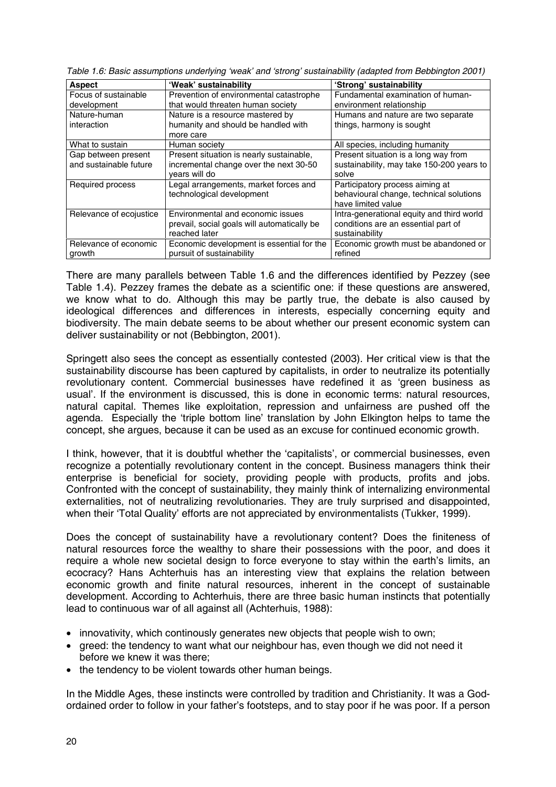| <b>Aspect</b>           | 'Weak' sustainability                       | 'Strong' sustainability                   |
|-------------------------|---------------------------------------------|-------------------------------------------|
| Focus of sustainable    | Prevention of environmental catastrophe     | Fundamental examination of human-         |
| development             | that would threaten human society           | environment relationship                  |
| Nature-human            | Nature is a resource mastered by            | Humans and nature are two separate        |
| interaction             | humanity and should be handled with         | things, harmony is sought                 |
|                         | more care                                   |                                           |
| What to sustain         | Human society                               | All species, including humanity           |
| Gap between present     | Present situation is nearly sustainable,    | Present situation is a long way from      |
| and sustainable future  | incremental change over the next 30-50      | sustainability, may take 150-200 years to |
|                         | vears will do                               | solve                                     |
| Required process        | Legal arrangements, market forces and       | Participatory process aiming at           |
|                         | technological development                   | behavioural change, technical solutions   |
|                         |                                             | have limited value                        |
| Relevance of ecojustice | Environmental and economic issues           | Intra-generational equity and third world |
|                         | prevail, social goals will automatically be | conditions are an essential part of       |
|                         | reached later                               | sustainability                            |
| Relevance of economic   | Economic development is essential for the   | Economic growth must be abandoned or      |
| growth                  | pursuit of sustainability                   | refined                                   |

*Table 1.6: Basic assumptions underlying 'weak' and 'strong' sustainability (adapted from Bebbington 2001)*

There are many parallels between Table 1.6 and the differences identified by Pezzey (see Table 1.4). Pezzey frames the debate as a scientific one: if these questions are answered, we know what to do. Although this may be partly true, the debate is also caused by ideological differences and differences in interests, especially concerning equity and biodiversity. The main debate seems to be about whether our present economic system can deliver sustainability or not (Bebbington, 2001).

Springett also sees the concept as essentially contested (2003). Her critical view is that the sustainability discourse has been captured by capitalists, in order to neutralize its potentially revolutionary content. Commercial businesses have redefined it as 'green business as usual'. If the environment is discussed, this is done in economic terms: natural resources, natural capital. Themes like exploitation, repression and unfairness are pushed off the agenda. Especially the 'triple bottom line' translation by John Elkington helps to tame the concept, she argues, because it can be used as an excuse for continued economic growth.

I think, however, that it is doubtful whether the 'capitalists', or commercial businesses, even recognize a potentially revolutionary content in the concept. Business managers think their enterprise is beneficial for society, providing people with products, profits and jobs. Confronted with the concept of sustainability, they mainly think of internalizing environmental externalities, not of neutralizing revolutionaries. They are truly surprised and disappointed, when their 'Total Quality' efforts are not appreciated by environmentalists (Tukker, 1999).

Does the concept of sustainability have a revolutionary content? Does the finiteness of natural resources force the wealthy to share their possessions with the poor, and does it require a whole new societal design to force everyone to stay within the earth's limits, an ecocracy? Hans Achterhuis has an interesting view that explains the relation between economic growth and finite natural resources, inherent in the concept of sustainable development. According to Achterhuis, there are three basic human instincts that potentially lead to continuous war of all against all (Achterhuis, 1988):

- innovativity, which continously generates new objects that people wish to own;
- greed: the tendency to want what our neighbour has, even though we did not need it before we knew it was there;
- the tendency to be violent towards other human beings.

In the Middle Ages, these instincts were controlled by tradition and Christianity. It was a Godordained order to follow in your father's footsteps, and to stay poor if he was poor. If a person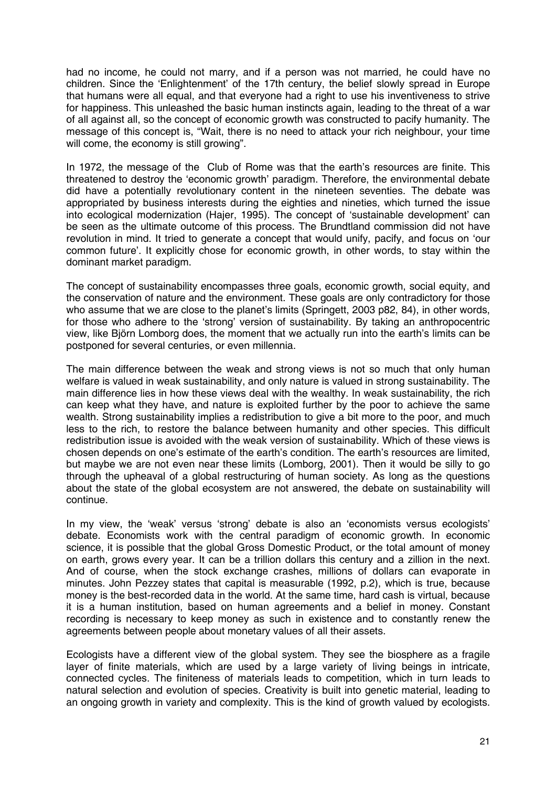had no income, he could not marry, and if a person was not married, he could have no children. Since the 'Enlightenment' of the 17th century, the belief slowly spread in Europe that humans were all equal, and that everyone had a right to use his inventiveness to strive for happiness. This unleashed the basic human instincts again, leading to the threat of a war of all against all, so the concept of economic growth was constructed to pacify humanity. The message of this concept is, "Wait, there is no need to attack your rich neighbour, your time will come, the economy is still growing".

In 1972, the message of the Club of Rome was that the earth's resources are finite. This threatened to destroy the 'economic growth' paradigm. Therefore, the environmental debate did have a potentially revolutionary content in the nineteen seventies. The debate was appropriated by business interests during the eighties and nineties, which turned the issue into ecological modernization (Hajer, 1995). The concept of 'sustainable development' can be seen as the ultimate outcome of this process. The Brundtland commission did not have revolution in mind. It tried to generate a concept that would unify, pacify, and focus on 'our common future'. It explicitly chose for economic growth, in other words, to stay within the dominant market paradigm.

The concept of sustainability encompasses three goals, economic growth, social equity, and the conservation of nature and the environment. These goals are only contradictory for those who assume that we are close to the planet's limits (Springett, 2003 p82, 84), in other words, for those who adhere to the 'strong' version of sustainability. By taking an anthropocentric view, like Björn Lomborg does, the moment that we actually run into the earth's limits can be postponed for several centuries, or even millennia.

The main difference between the weak and strong views is not so much that only human welfare is valued in weak sustainability, and only nature is valued in strong sustainability. The main difference lies in how these views deal with the wealthy. In weak sustainability, the rich can keep what they have, and nature is exploited further by the poor to achieve the same wealth. Strong sustainability implies a redistribution to give a bit more to the poor, and much less to the rich, to restore the balance between humanity and other species. This difficult redistribution issue is avoided with the weak version of sustainability. Which of these views is chosen depends on one's estimate of the earth's condition. The earth's resources are limited, but maybe we are not even near these limits (Lomborg, 2001). Then it would be silly to go through the upheaval of a global restructuring of human society. As long as the questions about the state of the global ecosystem are not answered, the debate on sustainability will continue.

In my view, the 'weak' versus 'strong' debate is also an 'economists versus ecologists' debate. Economists work with the central paradigm of economic growth. In economic science, it is possible that the global Gross Domestic Product, or the total amount of money on earth, grows every year. It can be a trillion dollars this century and a zillion in the next. And of course, when the stock exchange crashes, millions of dollars can evaporate in minutes. John Pezzey states that capital is measurable (1992, p.2), which is true, because money is the best-recorded data in the world. At the same time, hard cash is virtual, because it is a human institution, based on human agreements and a belief in money. Constant recording is necessary to keep money as such in existence and to constantly renew the agreements between people about monetary values of all their assets.

Ecologists have a different view of the global system. They see the biosphere as a fragile layer of finite materials, which are used by a large variety of living beings in intricate, connected cycles. The finiteness of materials leads to competition, which in turn leads to natural selection and evolution of species. Creativity is built into genetic material, leading to an ongoing growth in variety and complexity. This is the kind of growth valued by ecologists.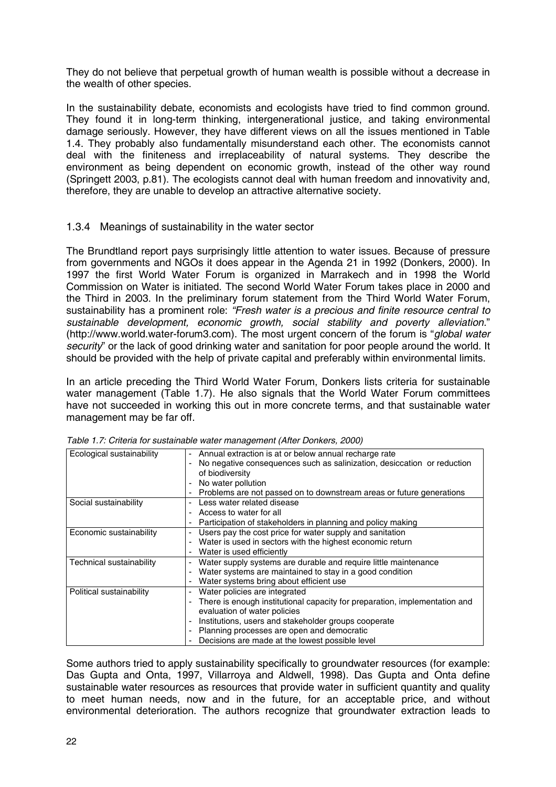They do not believe that perpetual growth of human wealth is possible without a decrease in the wealth of other species.

In the sustainability debate, economists and ecologists have tried to find common ground. They found it in long-term thinking, intergenerational justice, and taking environmental damage seriously. However, they have different views on all the issues mentioned in Table 1.4. They probably also fundamentally misunderstand each other. The economists cannot deal with the finiteness and irreplaceability of natural systems. They describe the environment as being dependent on economic growth, instead of the other way round (Springett 2003, p.81). The ecologists cannot deal with human freedom and innovativity and, therefore, they are unable to develop an attractive alternative society.

#### 1.3.4 Meanings of sustainability in the water sector

The Brundtland report pays surprisingly little attention to water issues. Because of pressure from governments and NGOs it does appear in the Agenda 21 in 1992 (Donkers, 2000). In 1997 the first World Water Forum is organized in Marrakech and in 1998 the World Commission on Water is initiated. The second World Water Forum takes place in 2000 and the Third in 2003. In the preliminary forum statement from the Third World Water Forum, sustainability has a prominent role: *"Fresh water is a precious and finite resource central to sustainable development, economic growth, social stability and poverty alleviation.*" (http://www.world.water-forum3.com). The most urgent concern of the forum is "*global water security*" or the lack of good drinking water and sanitation for poor people around the world. It should be provided with the help of private capital and preferably within environmental limits.

In an article preceding the Third World Water Forum, Donkers lists criteria for sustainable water management (Table 1.7). He also signals that the World Water Forum committees have not succeeded in working this out in more concrete terms, and that sustainable water management may be far off.

| Ecological sustainability | Annual extraction is at or below annual recharge rate                        |
|---------------------------|------------------------------------------------------------------------------|
|                           | No negative consequences such as salinization, desiccation or reduction<br>- |
|                           | of biodiversity                                                              |
|                           | No water pollution                                                           |
|                           | Problems are not passed on to downstream areas or future generations         |
| Social sustainability     | Less water related disease                                                   |
|                           | Access to water for all                                                      |
|                           | Participation of stakeholders in planning and policy making                  |
| Economic sustainability   | Users pay the cost price for water supply and sanitation<br>-                |
|                           | Water is used in sectors with the highest economic return                    |
|                           | Water is used efficiently                                                    |
| Technical sustainability  | Water supply systems are durable and require little maintenance              |
|                           | Water systems are maintained to stay in a good condition                     |
|                           | Water systems bring about efficient use                                      |
| Political sustainability  | Water policies are integrated                                                |
|                           | There is enough institutional capacity for preparation, implementation and   |
|                           | evaluation of water policies                                                 |
|                           | Institutions, users and stakeholder groups cooperate                         |
|                           | Planning processes are open and democratic                                   |
|                           | Decisions are made at the lowest possible level                              |

*Table 1.7: Criteria for sustainable water management (After Donkers, 2000)*

Some authors tried to apply sustainability specifically to groundwater resources (for example: Das Gupta and Onta, 1997, Villarroya and Aldwell, 1998). Das Gupta and Onta define sustainable water resources as resources that provide water in sufficient quantity and quality to meet human needs, now and in the future, for an acceptable price, and without environmental deterioration. The authors recognize that groundwater extraction leads to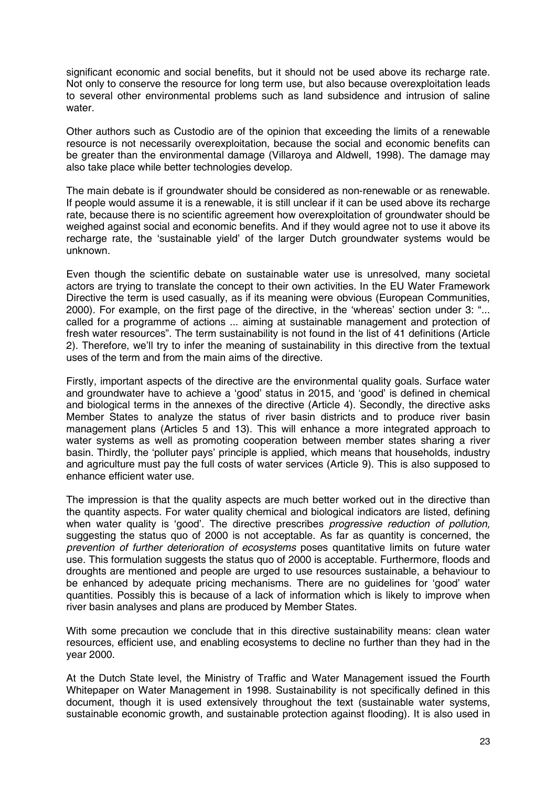significant economic and social benefits, but it should not be used above its recharge rate. Not only to conserve the resource for long term use, but also because overexploitation leads to several other environmental problems such as land subsidence and intrusion of saline water.

Other authors such as Custodio are of the opinion that exceeding the limits of a renewable resource is not necessarily overexploitation, because the social and economic benefits can be greater than the environmental damage (Villaroya and Aldwell, 1998). The damage may also take place while better technologies develop.

The main debate is if groundwater should be considered as non-renewable or as renewable. If people would assume it is a renewable, it is still unclear if it can be used above its recharge rate, because there is no scientific agreement how overexploitation of groundwater should be weighed against social and economic benefits. And if they would agree not to use it above its recharge rate, the 'sustainable yield' of the larger Dutch groundwater systems would be unknown.

Even though the scientific debate on sustainable water use is unresolved, many societal actors are trying to translate the concept to their own activities. In the EU Water Framework Directive the term is used casually, as if its meaning were obvious (European Communities, 2000). For example, on the first page of the directive, in the 'whereas' section under 3: "... called for a programme of actions ... aiming at sustainable management and protection of fresh water resources". The term sustainability is not found in the list of 41 definitions (Article 2). Therefore, we'll try to infer the meaning of sustainability in this directive from the textual uses of the term and from the main aims of the directive.

Firstly, important aspects of the directive are the environmental quality goals. Surface water and groundwater have to achieve a 'good' status in 2015, and 'good' is defined in chemical and biological terms in the annexes of the directive (Article 4). Secondly, the directive asks Member States to analyze the status of river basin districts and to produce river basin management plans (Articles 5 and 13). This will enhance a more integrated approach to water systems as well as promoting cooperation between member states sharing a river basin. Thirdly, the 'polluter pays' principle is applied, which means that households, industry and agriculture must pay the full costs of water services (Article 9). This is also supposed to enhance efficient water use.

The impression is that the quality aspects are much better worked out in the directive than the quantity aspects. For water quality chemical and biological indicators are listed, defining when water quality is 'good'. The directive prescribes *progressive reduction of pollution,* suggesting the status quo of 2000 is not acceptable. As far as quantity is concerned, the *prevention of further deterioration of ecosystems* poses quantitative limits on future water use. This formulation suggests the status quo of 2000 is acceptable. Furthermore, floods and droughts are mentioned and people are urged to use resources sustainable, a behaviour to be enhanced by adequate pricing mechanisms. There are no guidelines for 'good' water quantities. Possibly this is because of a lack of information which is likely to improve when river basin analyses and plans are produced by Member States.

With some precaution we conclude that in this directive sustainability means: clean water resources, efficient use, and enabling ecosystems to decline no further than they had in the year 2000.

At the Dutch State level, the Ministry of Traffic and Water Management issued the Fourth Whitepaper on Water Management in 1998. Sustainability is not specifically defined in this document, though it is used extensively throughout the text (sustainable water systems, sustainable economic growth, and sustainable protection against flooding). It is also used in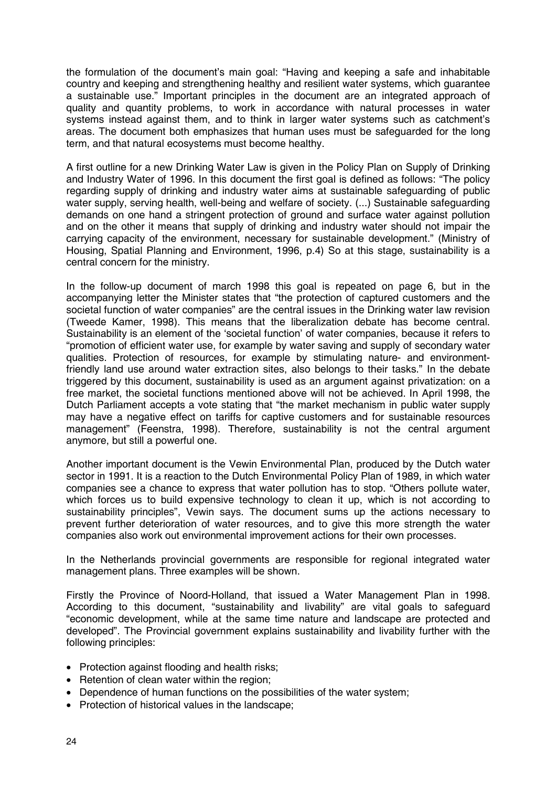the formulation of the document's main goal: "Having and keeping a safe and inhabitable country and keeping and strengthening healthy and resilient water systems, which guarantee a sustainable use." Important principles in the document are an integrated approach of quality and quantity problems, to work in accordance with natural processes in water systems instead against them, and to think in larger water systems such as catchment's areas. The document both emphasizes that human uses must be safeguarded for the long term, and that natural ecosystems must become healthy.

A first outline for a new Drinking Water Law is given in the Policy Plan on Supply of Drinking and Industry Water of 1996. In this document the first goal is defined as follows: "The policy regarding supply of drinking and industry water aims at sustainable safeguarding of public water supply, serving health, well-being and welfare of society. (...) Sustainable safeguarding demands on one hand a stringent protection of ground and surface water against pollution and on the other it means that supply of drinking and industry water should not impair the carrying capacity of the environment, necessary for sustainable development." (Ministry of Housing, Spatial Planning and Environment, 1996, p.4) So at this stage, sustainability is a central concern for the ministry.

In the follow-up document of march 1998 this goal is repeated on page 6, but in the accompanying letter the Minister states that "the protection of captured customers and the societal function of water companies" are the central issues in the Drinking water law revision (Tweede Kamer, 1998). This means that the liberalization debate has become central. Sustainability is an element of the 'societal function' of water companies, because it refers to "promotion of efficient water use, for example by water saving and supply of secondary water qualities. Protection of resources, for example by stimulating nature- and environmentfriendly land use around water extraction sites, also belongs to their tasks." In the debate triggered by this document, sustainability is used as an argument against privatization: on a free market, the societal functions mentioned above will not be achieved. In April 1998, the Dutch Parliament accepts a vote stating that "the market mechanism in public water supply may have a negative effect on tariffs for captive customers and for sustainable resources management" (Feenstra, 1998). Therefore, sustainability is not the central argument anymore, but still a powerful one.

Another important document is the Vewin Environmental Plan, produced by the Dutch water sector in 1991. It is a reaction to the Dutch Environmental Policy Plan of 1989, in which water companies see a chance to express that water pollution has to stop. "Others pollute water, which forces us to build expensive technology to clean it up, which is not according to sustainability principles", Vewin says. The document sums up the actions necessary to prevent further deterioration of water resources, and to give this more strength the water companies also work out environmental improvement actions for their own processes.

In the Netherlands provincial governments are responsible for regional integrated water management plans. Three examples will be shown.

Firstly the Province of Noord-Holland, that issued a Water Management Plan in 1998. According to this document, "sustainability and livability" are vital goals to safeguard "economic development, while at the same time nature and landscape are protected and developed". The Provincial government explains sustainability and livability further with the following principles:

- Protection against flooding and health risks;
- Retention of clean water within the region;
- Dependence of human functions on the possibilities of the water system:
- Protection of historical values in the landscape;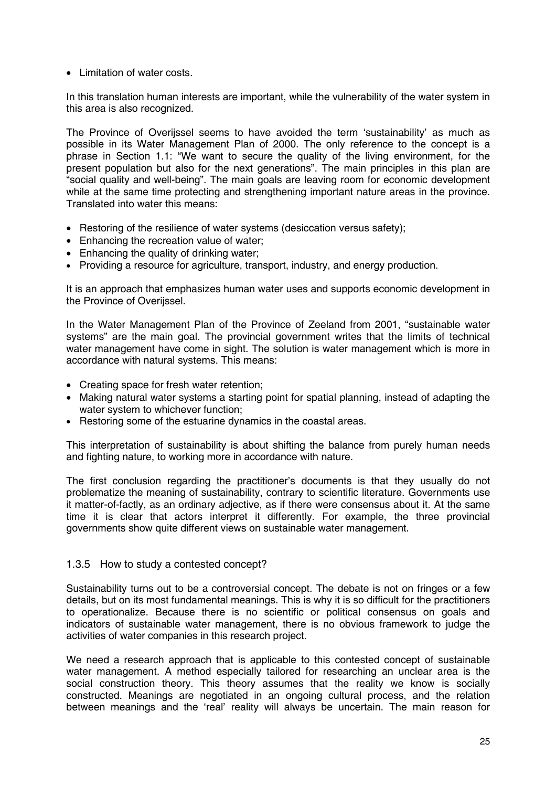• Limitation of water costs.

In this translation human interests are important, while the vulnerability of the water system in this area is also recognized.

The Province of Overijssel seems to have avoided the term 'sustainability' as much as possible in its Water Management Plan of 2000. The only reference to the concept is a phrase in Section 1.1: "We want to secure the quality of the living environment, for the present population but also for the next generations". The main principles in this plan are "social quality and well-being". The main goals are leaving room for economic development while at the same time protecting and strengthening important nature areas in the province. Translated into water this means:

- Restoring of the resilience of water systems (desiccation versus safety);
- Enhancing the recreation value of water;
- Enhancing the quality of drinking water;
- Providing a resource for agriculture, transport, industry, and energy production.

It is an approach that emphasizes human water uses and supports economic development in the Province of Overijssel.

In the Water Management Plan of the Province of Zeeland from 2001, "sustainable water systems" are the main goal. The provincial government writes that the limits of technical water management have come in sight. The solution is water management which is more in accordance with natural systems. This means:

- Creating space for fresh water retention;
- Making natural water systems a starting point for spatial planning, instead of adapting the water system to whichever function;
- Restoring some of the estuarine dynamics in the coastal areas.

This interpretation of sustainability is about shifting the balance from purely human needs and fighting nature, to working more in accordance with nature.

The first conclusion regarding the practitioner's documents is that they usually do not problematize the meaning of sustainability, contrary to scientific literature. Governments use it matter-of-factly, as an ordinary adjective, as if there were consensus about it. At the same time it is clear that actors interpret it differently. For example, the three provincial governments show quite different views on sustainable water management.

#### 1.3.5 How to study a contested concept?

Sustainability turns out to be a controversial concept. The debate is not on fringes or a few details, but on its most fundamental meanings. This is why it is so difficult for the practitioners to operationalize. Because there is no scientific or political consensus on goals and indicators of sustainable water management, there is no obvious framework to judge the activities of water companies in this research project.

We need a research approach that is applicable to this contested concept of sustainable water management. A method especially tailored for researching an unclear area is the social construction theory. This theory assumes that the reality we know is socially constructed. Meanings are negotiated in an ongoing cultural process, and the relation between meanings and the 'real' reality will always be uncertain. The main reason for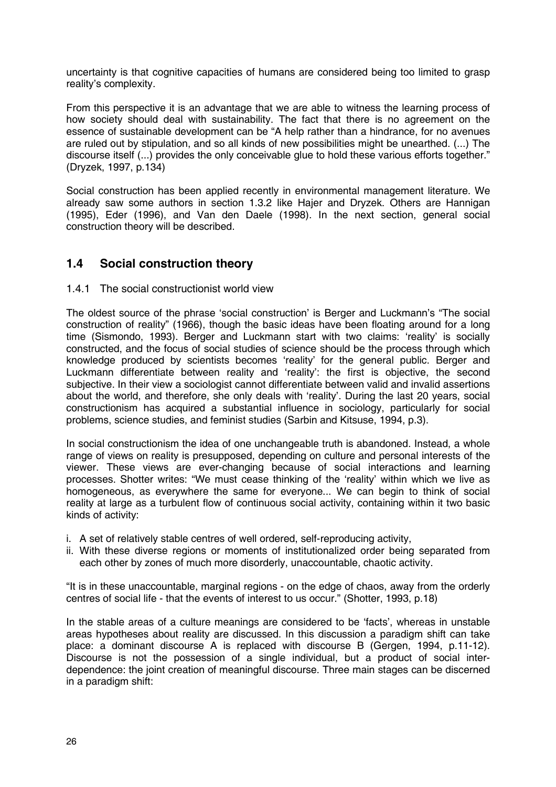uncertainty is that cognitive capacities of humans are considered being too limited to grasp reality's complexity.

From this perspective it is an advantage that we are able to witness the learning process of how society should deal with sustainability. The fact that there is no agreement on the essence of sustainable development can be "A help rather than a hindrance, for no avenues are ruled out by stipulation, and so all kinds of new possibilities might be unearthed. (...) The discourse itself (...) provides the only conceivable glue to hold these various efforts together." (Dryzek, 1997, p.134)

Social construction has been applied recently in environmental management literature. We already saw some authors in section 1.3.2 like Hajer and Dryzek. Others are Hannigan (1995), Eder (1996), and Van den Daele (1998). In the next section, general social construction theory will be described.

## **1.4 Social construction theory**

#### 1.4.1 The social constructionist world view

The oldest source of the phrase 'social construction' is Berger and Luckmann's "The social construction of reality" (1966), though the basic ideas have been floating around for a long time (Sismondo, 1993). Berger and Luckmann start with two claims: 'reality' is socially constructed, and the focus of social studies of science should be the process through which knowledge produced by scientists becomes 'reality' for the general public. Berger and Luckmann differentiate between reality and 'reality': the first is objective, the second subjective. In their view a sociologist cannot differentiate between valid and invalid assertions about the world, and therefore, she only deals with 'reality'. During the last 20 years, social constructionism has acquired a substantial influence in sociology, particularly for social problems, science studies, and feminist studies (Sarbin and Kitsuse, 1994, p.3).

In social constructionism the idea of one unchangeable truth is abandoned. Instead, a whole range of views on reality is presupposed, depending on culture and personal interests of the viewer. These views are ever-changing because of social interactions and learning processes. Shotter writes: "We must cease thinking of the 'reality' within which we live as homogeneous, as everywhere the same for everyone... We can begin to think of social reality at large as a turbulent flow of continuous social activity, containing within it two basic kinds of activity:

- i. A set of relatively stable centres of well ordered, self-reproducing activity,
- ii. With these diverse regions or moments of institutionalized order being separated from each other by zones of much more disorderly, unaccountable, chaotic activity.

"It is in these unaccountable, marginal regions - on the edge of chaos, away from the orderly centres of social life - that the events of interest to us occur." (Shotter, 1993, p.18)

In the stable areas of a culture meanings are considered to be 'facts', whereas in unstable areas hypotheses about reality are discussed. In this discussion a paradigm shift can take place: a dominant discourse A is replaced with discourse B (Gergen, 1994, p.11-12). Discourse is not the possession of a single individual, but a product of social interdependence: the joint creation of meaningful discourse. Three main stages can be discerned in a paradigm shift: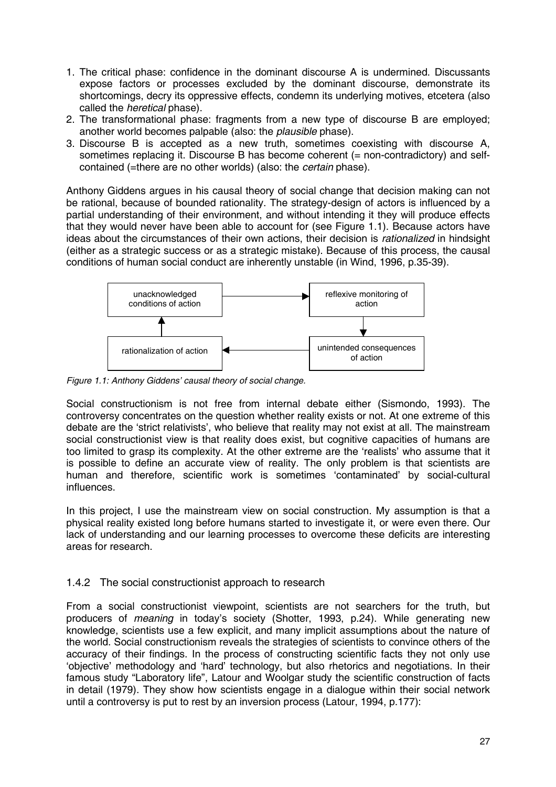- 1. The critical phase: confidence in the dominant discourse A is undermined. Discussants expose factors or processes excluded by the dominant discourse, demonstrate its shortcomings, decry its oppressive effects, condemn its underlying motives, etcetera (also called the *heretical* phase).
- 2. The transformational phase: fragments from a new type of discourse B are employed; another world becomes palpable (also: the *plausible* phase).
- 3. Discourse B is accepted as a new truth, sometimes coexisting with discourse A, sometimes replacing it. Discourse B has become coherent (= non-contradictory) and selfcontained (=there are no other worlds) (also: the *certain* phase).

Anthony Giddens argues in his causal theory of social change that decision making can not be rational, because of bounded rationality. The strategy-design of actors is influenced by a partial understanding of their environment, and without intending it they will produce effects that they would never have been able to account for (see Figure 1.1). Because actors have ideas about the circumstances of their own actions, their decision is *rationalized* in hindsight (either as a strategic success or as a strategic mistake). Because of this process, the causal conditions of human social conduct are inherently unstable (in Wind, 1996, p.35-39).



*Figure 1.1: Anthony Giddens' causal theory of social change.*

Social constructionism is not free from internal debate either (Sismondo, 1993). The controversy concentrates on the question whether reality exists or not. At one extreme of this debate are the 'strict relativists', who believe that reality may not exist at all. The mainstream social constructionist view is that reality does exist, but cognitive capacities of humans are too limited to grasp its complexity. At the other extreme are the 'realists' who assume that it is possible to define an accurate view of reality. The only problem is that scientists are human and therefore, scientific work is sometimes 'contaminated' by social-cultural influences.

In this project, I use the mainstream view on social construction. My assumption is that a physical reality existed long before humans started to investigate it, or were even there. Our lack of understanding and our learning processes to overcome these deficits are interesting areas for research.

### 1.4.2 The social constructionist approach to research

From a social constructionist viewpoint, scientists are not searchers for the truth, but producers of *meaning* in today's society (Shotter, 1993, p.24). While generating new knowledge, scientists use a few explicit, and many implicit assumptions about the nature of the world. Social constructionism reveals the strategies of scientists to convince others of the accuracy of their findings. In the process of constructing scientific facts they not only use 'objective' methodology and 'hard' technology, but also rhetorics and negotiations. In their famous study "Laboratory life", Latour and Woolgar study the scientific construction of facts in detail (1979). They show how scientists engage in a dialogue within their social network until a controversy is put to rest by an inversion process (Latour, 1994, p.177):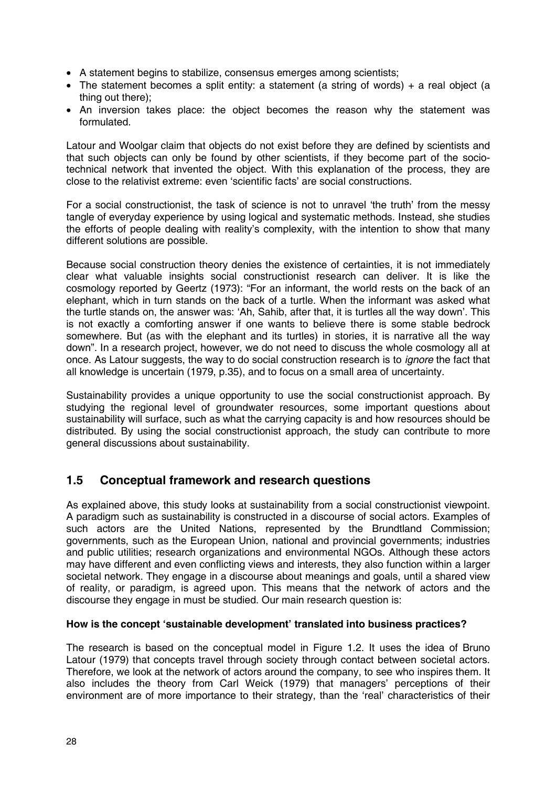- A statement begins to stabilize, consensus emerges among scientists;
- The statement becomes a split entity: a statement (a string of words) + a real object (a thing out there);
- An inversion takes place: the object becomes the reason why the statement was formulated.

Latour and Woolgar claim that objects do not exist before they are defined by scientists and that such objects can only be found by other scientists, if they become part of the sociotechnical network that invented the object. With this explanation of the process, they are close to the relativist extreme: even 'scientific facts' are social constructions.

For a social constructionist, the task of science is not to unravel 'the truth' from the messy tangle of everyday experience by using logical and systematic methods. Instead, she studies the efforts of people dealing with reality's complexity, with the intention to show that many different solutions are possible.

Because social construction theory denies the existence of certainties, it is not immediately clear what valuable insights social constructionist research can deliver. It is like the cosmology reported by Geertz (1973): "For an informant, the world rests on the back of an elephant, which in turn stands on the back of a turtle. When the informant was asked what the turtle stands on, the answer was: 'Ah, Sahib, after that, it is turtles all the way down'. This is not exactly a comforting answer if one wants to believe there is some stable bedrock somewhere. But (as with the elephant and its turtles) in stories, it is narrative all the way down". In a research project, however, we do not need to discuss the whole cosmology all at once. As Latour suggests, the way to do social construction research is to *ignore* the fact that all knowledge is uncertain (1979, p.35), and to focus on a small area of uncertainty.

Sustainability provides a unique opportunity to use the social constructionist approach. By studying the regional level of groundwater resources, some important questions about sustainability will surface, such as what the carrying capacity is and how resources should be distributed. By using the social constructionist approach, the study can contribute to more general discussions about sustainability.

## **1.5 Conceptual framework and research questions**

As explained above, this study looks at sustainability from a social constructionist viewpoint. A paradigm such as sustainability is constructed in a discourse of social actors. Examples of such actors are the United Nations, represented by the Brundtland Commission; governments, such as the European Union, national and provincial governments; industries and public utilities; research organizations and environmental NGOs. Although these actors may have different and even conflicting views and interests, they also function within a larger societal network. They engage in a discourse about meanings and goals, until a shared view of reality, or paradigm, is agreed upon. This means that the network of actors and the discourse they engage in must be studied. Our main research question is:

#### **How is the concept 'sustainable development' translated into business practices?**

The research is based on the conceptual model in Figure 1.2. It uses the idea of Bruno Latour (1979) that concepts travel through society through contact between societal actors. Therefore, we look at the network of actors around the company, to see who inspires them. It also includes the theory from Carl Weick (1979) that managers' perceptions of their environment are of more importance to their strategy, than the 'real' characteristics of their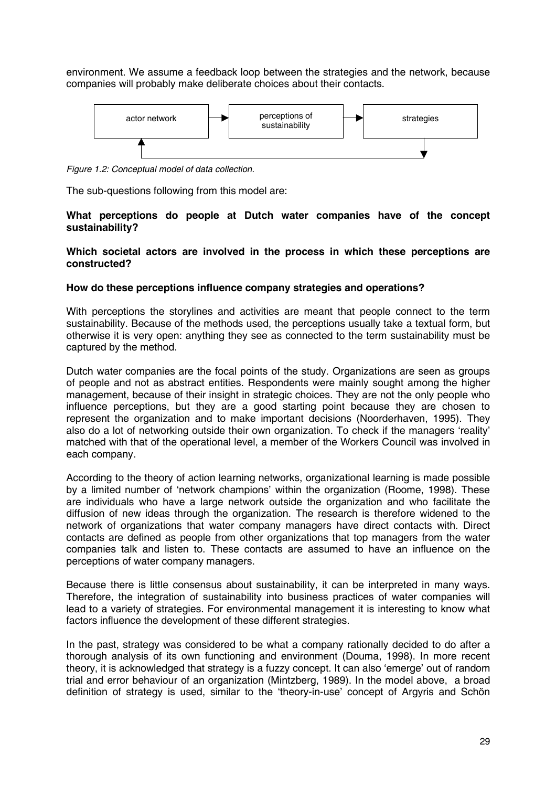environment. We assume a feedback loop between the strategies and the network, because companies will probably make deliberate choices about their contacts.



*Figure 1.2: Conceptual model of data collection.*

The sub-questions following from this model are:

#### **What perceptions do people at Dutch water companies have of the concept sustainability?**

**Which societal actors are involved in the process in which these perceptions are constructed?**

#### **How do these perceptions influence company strategies and operations?**

With perceptions the storylines and activities are meant that people connect to the term sustainability. Because of the methods used, the perceptions usually take a textual form, but otherwise it is very open: anything they see as connected to the term sustainability must be captured by the method.

Dutch water companies are the focal points of the study. Organizations are seen as groups of people and not as abstract entities. Respondents were mainly sought among the higher management, because of their insight in strategic choices. They are not the only people who influence perceptions, but they are a good starting point because they are chosen to represent the organization and to make important decisions (Noorderhaven, 1995). They also do a lot of networking outside their own organization. To check if the managers 'reality' matched with that of the operational level, a member of the Workers Council was involved in each company.

According to the theory of action learning networks, organizational learning is made possible by a limited number of 'network champions' within the organization (Roome, 1998). These are individuals who have a large network outside the organization and who facilitate the diffusion of new ideas through the organization. The research is therefore widened to the network of organizations that water company managers have direct contacts with. Direct contacts are defined as people from other organizations that top managers from the water companies talk and listen to. These contacts are assumed to have an influence on the perceptions of water company managers.

Because there is little consensus about sustainability, it can be interpreted in many ways. Therefore, the integration of sustainability into business practices of water companies will lead to a variety of strategies. For environmental management it is interesting to know what factors influence the development of these different strategies.

In the past, strategy was considered to be what a company rationally decided to do after a thorough analysis of its own functioning and environment (Douma, 1998). In more recent theory, it is acknowledged that strategy is a fuzzy concept. It can also 'emerge' out of random trial and error behaviour of an organization (Mintzberg, 1989). In the model above, a broad definition of strategy is used, similar to the 'theory-in-use' concept of Argyris and Schön